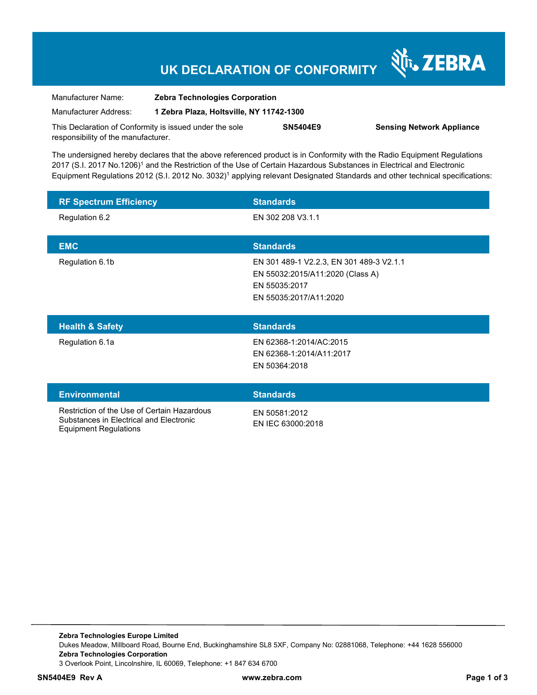# **UK DECLARATION OF CONFORMITY**

Nr. ZEBRA

| Manufacturer Name:                                      | <b>Zebra Technologies Corporation</b>    |                 |                                  |
|---------------------------------------------------------|------------------------------------------|-----------------|----------------------------------|
| Manufacturer Address:                                   | 1 Zebra Plaza, Holtsville, NY 11742-1300 |                 |                                  |
| This Declaration of Conformity is issued under the sole |                                          | <b>SN5404E9</b> | <b>Sensing Network Appliance</b> |
| responsibility of the manufacturer.                     |                                          |                 |                                  |

The undersigned hereby declares that the above referenced product is in Conformity with the Radio Equipment Regulations 2017 (S.I. 2017 No.1206)<sup>1</sup> and the Restriction of the Use of Certain Hazardous Substances in Electrical and Electronic Equipment Regulations 2012 (S.I. 2012 No. 3032)<sup>1</sup> applying relevant Designated Standards and other technical specifications:

| <b>RF Spectrum Efficiency</b> | <b>Standards</b>                                                                                                        |
|-------------------------------|-------------------------------------------------------------------------------------------------------------------------|
| Regulation 6.2                | EN 302 208 V3.1.1                                                                                                       |
| <b>EMC</b>                    | <b>Standards</b>                                                                                                        |
| Regulation 6.1b               | EN 301 489-1 V2.2.3, EN 301 489-3 V2.1.1<br>EN 55032:2015/A11:2020 (Class A)<br>EN 55035:2017<br>EN 55035:2017/A11:2020 |
| <b>Health &amp; Safety</b>    | <b>Standards</b>                                                                                                        |
| Regulation 6.1a               | EN 62368-1:2014/AC:2015                                                                                                 |
|                               | EN 62368-1:2014/A11:2017<br>EN 50364:2018                                                                               |
| <b>Environmental</b>          | <b>Standards</b>                                                                                                        |

**Zebra Technologies Europe Limited**  Dukes Meadow, Millboard Road, Bourne End, Buckinghamshire SL8 5XF, Company No: 02881068, Telephone: +44 1628 556000 **Zebra Technologies Corporation**  3 Overlook Point, Lincolnshire, IL 60069, Telephone: +1 847 634 6700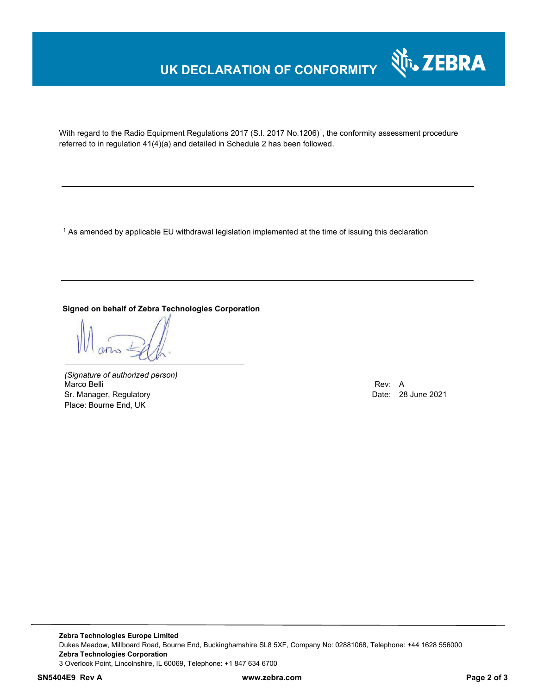## **UK DECLARATION OF CONFORMITY**



With regard to the Radio Equipment Regulations 2017 (S.I. 2017 No.1206)<sup>1</sup>, the conformity assessment procedure referred to in regulation 41(4)(a) and detailed in Schedule 2 has been followed.

 $^{\rm 1}$  As amended by applicable EU withdrawal legislation implemented at the time of issuing this declaration

### **Signed on behalf of Zebra Technologies Corporation**

*(Signature of authorized person)* Marco Belli Rev: A Annual Rev: A Annual Rev: A Annual Rev: A Annual Rev: A Annual Rev: A Annual Rev: A Annual Rev Sr. Manager, Regulatory **Date: 28 June 2021** Place: Bourne End, UK